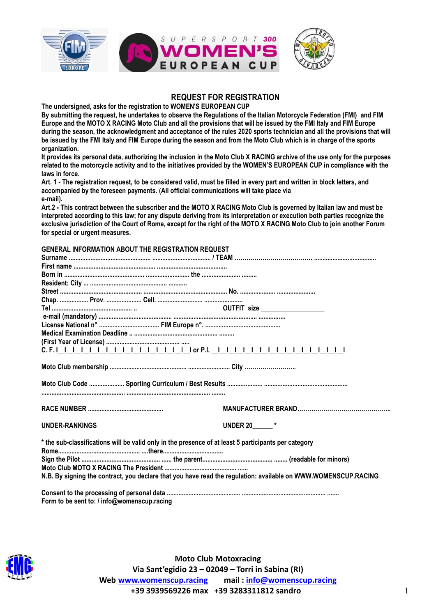

### **REQUEST FOR REGISTRATION**

**The undersigned, asks for the registration to WOMEN'S EUROPEAN CUP**

**By submitting the request, he undertakes to observe the Regulations of the Italian Motorcycle Federation (FMI) and FIM Europe and the MOTO X RACING Moto Club and all the provisions that will be issued by the FMI Italy and FIM Europe during the season, the acknowledgment and acceptance of the rules 2020 sports technician and all the provisions that will be issued by the FMI Italy and FIM Europe during the season and from the Moto Club which is in charge of the sports organization.**

**It provides its personal data, authorizing the inclusion in the Moto Club X RACING archive of the use only for the purposes related to the motorcycle activity and to the initiatives provided by the WOMEN'S EUROPEAN CUP in compliance with the laws in force.**

**Art. 1 - The registration request, to be considered valid, must be filled in every part and written in block letters, and accompanied by the foreseen payments. (All official communications will take place via e-mail).**

**Art.2 - This contract between the subscriber and the MOTO X RACING Moto Club is governed by Italian law and must be interpreted according to this law; for any dispute deriving from its interpretation or execution both parties recognize the exclusive jurisdiction of the Court of Rome, except for the right of the MOTO X RACING Moto Club to join another Forum for special or urgent measures.**

#### **GENERAL INFORMATION ABOUT THE REGISTRATION REQUEST**

| <b>UNDER-RANKINGS</b>                                                                                                                                                                                                  | <b>UNDER 20______*</b> |  |  |
|------------------------------------------------------------------------------------------------------------------------------------------------------------------------------------------------------------------------|------------------------|--|--|
| * the sub-classifications will be valid only in the presence of at least 5 participants per category<br>N.B. By signing the contract, you declare that you have read the regulation: available on WWW.WOMENSCUP.RACING |                        |  |  |
| Form to be sent to: / info@womenscup.racing                                                                                                                                                                            |                        |  |  |



**Moto Club Motoxracing Via Sant'egidio 23 – 02049 – Torri in Sabina (RI) Web [www.womenscup.racing](http://www.womenscup.racing/) mail : [info@womenscup.racing](mailto:info@womenscup.racing) +39 3939569226 max +39 3283311812 sandro** 1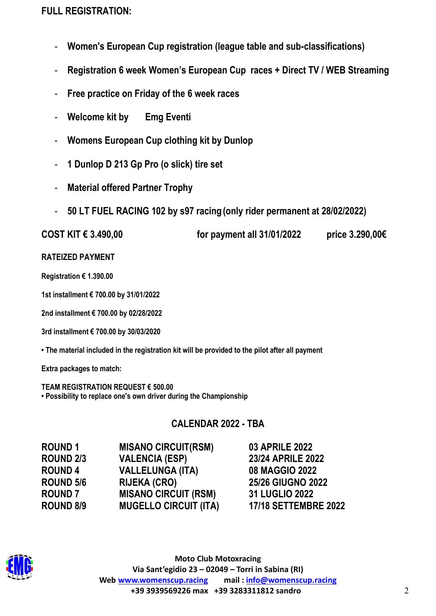# **FULL REGISTRATION:**

- **Women's European Cup registration (league table and sub-classifications)**
- **Registration 6 week Women's European Cup races + Direct TV / WEB Streaming**
- **Free practice on Friday of the 6 week races**
- **Welcome kit by Emg Eventi**
- **Womens European Cup clothing kit by Dunlop**
- **1 Dunlop D 213 Gp Pro (o slick) tire set**
- **Material offered Partner Trophy**
- **50 LT FUEL RACING 102 by s97 racing (only rider permanent at 28/02/2022)**

| COST KIT € 3.490,00 | for payment all 31/01/2022 | price 3.290,00€ |
|---------------------|----------------------------|-----------------|
|                     |                            |                 |

## **RATEIZED PAYMENT**

**Registration € 1.390.00** 

**1st installment € 700.00 by 31/01/2022**

**2nd installment € 700.00 by 02/28/2022**

**3rd installment € 700.00 by 30/03/2020**

**• The material included in the registration kit will be provided to the pilot after all payment** 

**Extra packages to match:**

**TEAM REGISTRATION REQUEST € 500.00 • Possibility to replace one's own driver during the Championship**

# **CALENDAR 2022 - TBA**

| <b>ROUND 1</b>   | <b>MISANO CIRCUIT(RSM)</b>   | <b>03 APRILE 2022</b>       |
|------------------|------------------------------|-----------------------------|
| <b>ROUND 2/3</b> | <b>VALENCIA (ESP)</b>        | <b>23/24 APRILE 2022</b>    |
| <b>ROUND 4</b>   | <b>VALLELUNGA (ITA)</b>      | 08 MAGGIO 2022              |
| <b>ROUND 5/6</b> | <b>RIJEKA (CRO)</b>          | <b>25/26 GIUGNO 2022</b>    |
| <b>ROUND 7</b>   | <b>MISANO CIRCUIT (RSM)</b>  | 31 LUGLIO 2022              |
| <b>ROUND 8/9</b> | <b>MUGELLO CIRCUIT (ITA)</b> | <b>17/18 SETTEMBRE 2022</b> |
|                  |                              |                             |